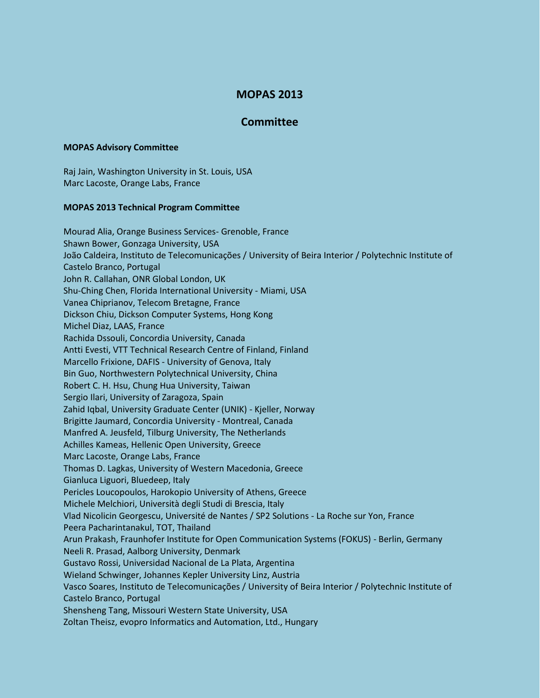## **MOPAS 2013**

## **Committee**

## **MOPAS Advisory Committee**

Raj Jain, Washington University in St. Louis, USA Marc Lacoste, Orange Labs, France

## **MOPAS 2013 Technical Program Committee**

Mourad Alia, Orange Business Services- Grenoble, France Shawn Bower, Gonzaga University, USA João Caldeira, Instituto de Telecomunicações / University of Beira Interior / Polytechnic Institute of Castelo Branco, Portugal John R. Callahan, ONR Global London, UK Shu-Ching Chen, Florida International University - Miami, USA Vanea Chiprianov, Telecom Bretagne, France Dickson Chiu, Dickson Computer Systems, Hong Kong Michel Diaz, LAAS, France Rachida Dssouli, Concordia University, Canada Antti Evesti, VTT Technical Research Centre of Finland, Finland Marcello Frixione, DAFIS - University of Genova, Italy Bin Guo, Northwestern Polytechnical University, China Robert C. H. Hsu, Chung Hua University, Taiwan Sergio Ilari, University of Zaragoza, Spain Zahid Iqbal, University Graduate Center (UNIK) - Kjeller, Norway Brigitte Jaumard, Concordia University - Montreal, Canada Manfred A. Jeusfeld, Tilburg University, The Netherlands Achilles Kameas, Hellenic Open University, Greece Marc Lacoste, Orange Labs, France Thomas D. Lagkas, University of Western Macedonia, Greece Gianluca Liguori, Bluedeep, Italy Pericles Loucopoulos, Harokopio University of Athens, Greece Michele Melchiori, Università degli Studi di Brescia, Italy Vlad Nicolicin Georgescu, Université de Nantes / SP2 Solutions - La Roche sur Yon, France Peera Pacharintanakul, TOT, Thailand Arun Prakash, Fraunhofer Institute for Open Communication Systems (FOKUS) - Berlin, Germany Neeli R. Prasad, Aalborg University, Denmark Gustavo Rossi, Universidad Nacional de La Plata, Argentina Wieland Schwinger, Johannes Kepler University Linz, Austria Vasco Soares, Instituto de Telecomunicações / University of Beira Interior / Polytechnic Institute of Castelo Branco, Portugal Shensheng Tang, Missouri Western State University, USA Zoltan Theisz, evopro Informatics and Automation, Ltd., Hungary